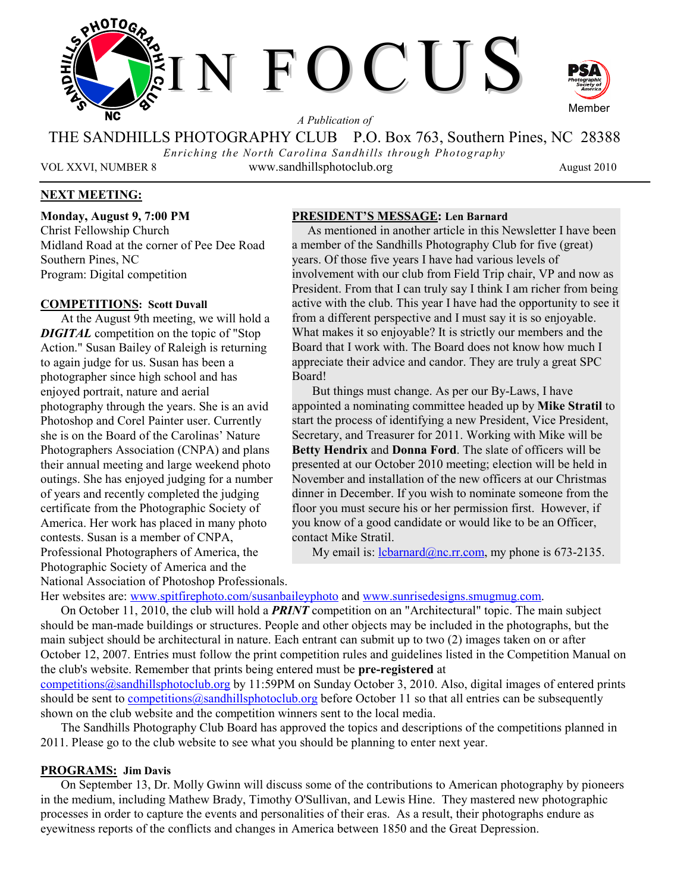

*A Publication of* 

THE SANDHILLS PHOTOGRAPHY CLUB P.O. Box 763, Southern Pines, NC 28388 *Enriching the North Carolina Sandhills through Photography* 

VOL XXVI, NUMBER 8 www.sandhillsphotoclub.org August 2010

Member

# **NEXT MEETING:**

**Monday, August 9, 7:00 PM**  Christ Fellowship Church Midland Road at the corner of Pee Dee Road Southern Pines, NC Program: Digital competition

### **COMPETITIONS: Scott Duvall**

At the August 9th meeting, we will hold a *DIGITAL* competition on the topic of "Stop Action." Susan Bailey of Raleigh is returning to again judge for us. Susan has been a photographer since high school and has enjoyed portrait, nature and aerial photography through the years. She is an avid Photoshop and Corel Painter user. Currently she is on the Board of the Carolinas' Nature Photographers Association (CNPA) and plans their annual meeting and large weekend photo outings. She has enjoyed judging for a number of years and recently completed the judging certificate from the Photographic Society of America. Her work has placed in many photo contests. Susan is a member of CNPA, Professional Photographers of America, the Photographic Society of America and the National Association of Photoshop Professionals.

#### **PRESIDENT'S MESSAGE: Len Barnard**

 As mentioned in another article in this Newsletter I have been a member of the Sandhills Photography Club for five (great) years. Of those five years I have had various levels of involvement with our club from Field Trip chair, VP and now as President. From that I can truly say I think I am richer from being active with the club. This year I have had the opportunity to see it from a different perspective and I must say it is so enjoyable. What makes it so enjoyable? It is strictly our members and the Board that I work with. The Board does not know how much I appreciate their advice and candor. They are truly a great SPC Board!

But things must change. As per our By-Laws, I have appointed a nominating committee headed up by **Mike Stratil** to start the process of identifying a new President, Vice President, Secretary, and Treasurer for 2011. Working with Mike will be **Betty Hendrix** and **Donna Ford**. The slate of officers will be presented at our October 2010 meeting; election will be held in November and installation of the new officers at our Christmas dinner in December. If you wish to nominate someone from the floor you must secure his or her permission first. However, if you know of a good candidate or would like to be an Officer, contact Mike Stratil.

My email is:  $\frac{1 \text{c} \text{b} \text{a} \text{r} \cdot \text{c} \cdot \text{b}}{a \text{b} \cdot \text{c} \cdot \text{c} \cdot \text{b}}$  my phone is 673-2135.

Her websites are: www.spitfirephoto.com/susanbaileyphoto and www.sunrisedesigns.smugmug.com.

On October 11, 2010, the club will hold a *PRINT* competition on an "Architectural" topic. The main subject should be man-made buildings or structures. People and other objects may be included in the photographs, but the main subject should be architectural in nature. Each entrant can submit up to two (2) images taken on or after October 12, 2007. Entries must follow the print competition rules and guidelines listed in the Competition Manual on the club's website. Remember that prints being entered must be **pre-registered** at

competitions@sandhillsphotoclub.org by 11:59PM on Sunday October 3, 2010. Also, digital images of entered prints should be sent to competitions@sandhillsphotoclub.org before October 11 so that all entries can be subsequently shown on the club website and the competition winners sent to the local media.

The Sandhills Photography Club Board has approved the topics and descriptions of the competitions planned in 2011. Please go to the club website to see what you should be planning to enter next year.

### **PROGRAMS: Jim Davis**

On September 13, Dr. Molly Gwinn will discuss some of the contributions to American photography by pioneers in the medium, including Mathew Brady, Timothy O'Sullivan, and Lewis Hine. They mastered new photographic processes in order to capture the events and personalities of their eras. As a result, their photographs endure as eyewitness reports of the conflicts and changes in America between 1850 and the Great Depression.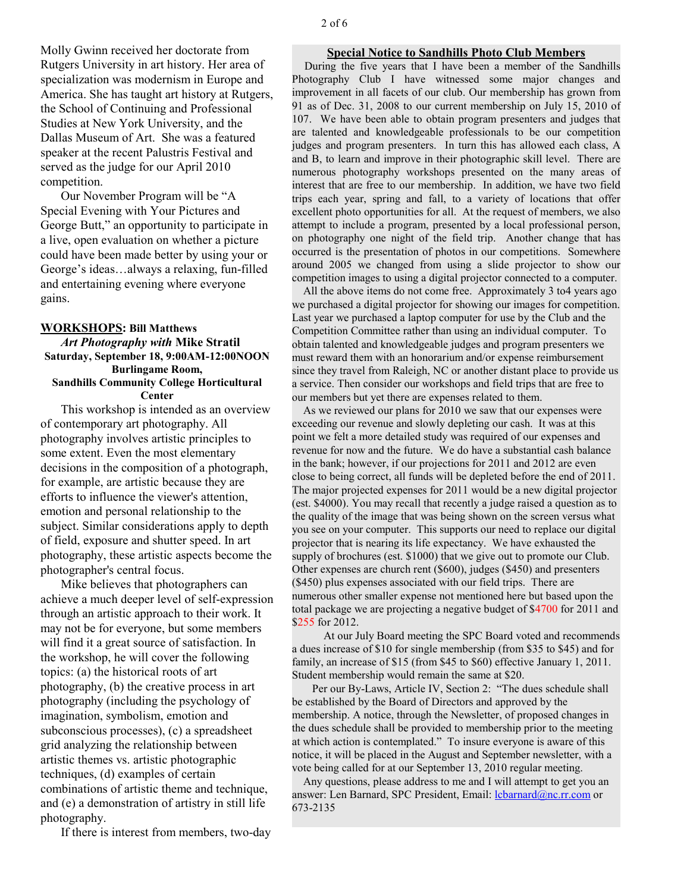Molly Gwinn received her doctorate from Rutgers University in art history. Her area of specialization was modernism in Europe and America. She has taught art history at Rutgers, the School of Continuing and Professional Studies at New York University, and the Dallas Museum of Art. She was a featured speaker at the recent Palustris Festival and served as the judge for our April 2010 competition.

Our November Program will be "A Special Evening with Your Pictures and George Butt," an opportunity to participate in a live, open evaluation on whether a picture could have been made better by using your or George's ideas…always a relaxing, fun-filled and entertaining evening where everyone gains.

#### **WORKSHOPS: Bill Matthews**

#### *Art Photography with* **Mike Stratil Saturday, September 18, 9:00AM-12:00NOON Burlingame Room, Sandhills Community College Horticultural Center**

This workshop is intended as an overview of contemporary art photography. All photography involves artistic principles to

some extent. Even the most elementary decisions in the composition of a photograph, for example, are artistic because they are efforts to influence the viewer's attention, emotion and personal relationship to the subject. Similar considerations apply to depth of field, exposure and shutter speed. In art photography, these artistic aspects become the photographer's central focus.

Mike believes that photographers can achieve a much deeper level of self-expression through an artistic approach to their work. It may not be for everyone, but some members will find it a great source of satisfaction. In the workshop, he will cover the following topics: (a) the historical roots of art photography, (b) the creative process in art photography (including the psychology of imagination, symbolism, emotion and subconscious processes), (c) a spreadsheet grid analyzing the relationship between artistic themes vs. artistic photographic techniques, (d) examples of certain combinations of artistic theme and technique, and (e) a demonstration of artistry in still life photography.

If there is interest from members, two-day

### **Special Notice to Sandhills Photo Club Members**

 During the five years that I have been a member of the Sandhills Photography Club I have witnessed some major changes and improvement in all facets of our club. Our membership has grown from 91 as of Dec. 31, 2008 to our current membership on July 15, 2010 of 107. We have been able to obtain program presenters and judges that are talented and knowledgeable professionals to be our competition judges and program presenters. In turn this has allowed each class, A and B, to learn and improve in their photographic skill level. There are numerous photography workshops presented on the many areas of interest that are free to our membership. In addition, we have two field trips each year, spring and fall, to a variety of locations that offer excellent photo opportunities for all. At the request of members, we also attempt to include a program, presented by a local professional person, on photography one night of the field trip. Another change that has occurred is the presentation of photos in our competitions. Somewhere around 2005 we changed from using a slide projector to show our competition images to using a digital projector connected to a computer.

 All the above items do not come free. Approximately 3 to4 years ago we purchased a digital projector for showing our images for competition. Last year we purchased a laptop computer for use by the Club and the Competition Committee rather than using an individual computer. To obtain talented and knowledgeable judges and program presenters we must reward them with an honorarium and/or expense reimbursement since they travel from Raleigh, NC or another distant place to provide us a service. Then consider our workshops and field trips that are free to our members but yet there are expenses related to them.

 As we reviewed our plans for 2010 we saw that our expenses were exceeding our revenue and slowly depleting our cash. It was at this point we felt a more detailed study was required of our expenses and revenue for now and the future. We do have a substantial cash balance in the bank; however, if our projections for 2011 and 2012 are even close to being correct, all funds will be depleted before the end of 2011. The major projected expenses for 2011 would be a new digital projector (est. \$4000). You may recall that recently a judge raised a question as to the quality of the image that was being shown on the screen versus what you see on your computer. This supports our need to replace our digital projector that is nearing its life expectancy. We have exhausted the supply of brochures (est. \$1000) that we give out to promote our Club. Other expenses are church rent (\$600), judges (\$450) and presenters (\$450) plus expenses associated with our field trips. There are numerous other smaller expense not mentioned here but based upon the total package we are projecting a negative budget of \$4700 for 2011 and \$255 for 2012.

 At our July Board meeting the SPC Board voted and recommends a dues increase of \$10 for single membership (from \$35 to \$45) and for family, an increase of \$15 (from \$45 to \$60) effective January 1, 2011. Student membership would remain the same at \$20.

Per our By-Laws, Article IV, Section 2: "The dues schedule shall be established by the Board of Directors and approved by the membership. A notice, through the Newsletter, of proposed changes in the dues schedule shall be provided to membership prior to the meeting at which action is contemplated." To insure everyone is aware of this notice, it will be placed in the August and September newsletter, with a vote being called for at our September 13, 2010 regular meeting.

 Any questions, please address to me and I will attempt to get you an answer: Len Barnard, SPC President, Email: lcbarnard@nc.rr.com or 673-2135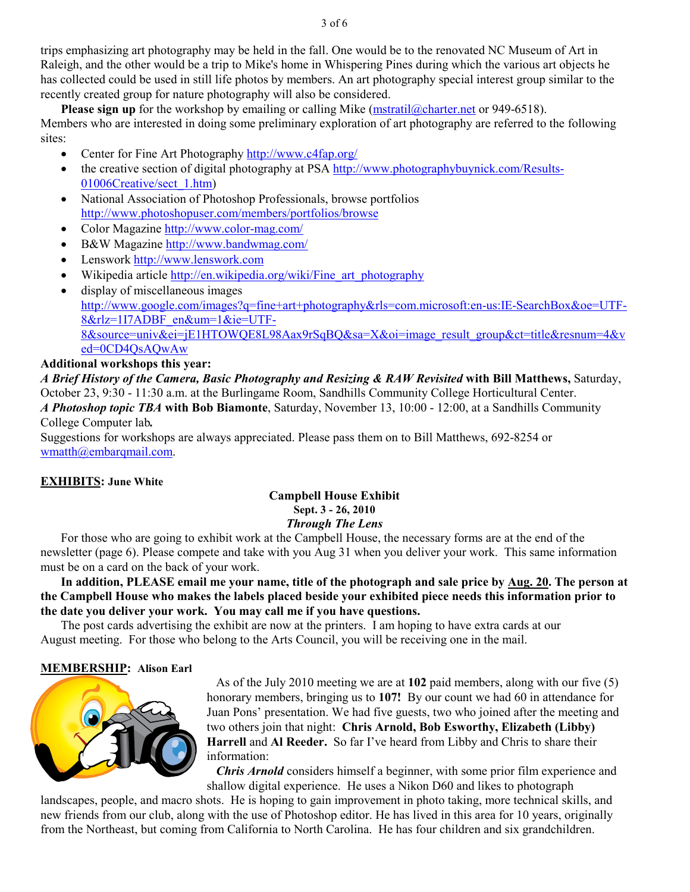trips emphasizing art photography may be held in the fall. One would be to the renovated NC Museum of Art in Raleigh, and the other would be a trip to Mike's home in Whispering Pines during which the various art objects he has collected could be used in still life photos by members. An art photography special interest group similar to the recently created group for nature photography will also be considered.

**Please sign up** for the workshop by emailing or calling Mike (mstratil@charter.net or 949-6518). Members who are interested in doing some preliminary exploration of art photography are referred to the following sites:

- Center for Fine Art Photography http://www.c4fap.org/
- the creative section of digital photography at PSA http://www.photographybuynick.com/Results-01006Creative/sect\_1.htm)
- National Association of Photoshop Professionals, browse portfolios http://www.photoshopuser.com/members/portfolios/browse
- Color Magazine http://www.color-mag.com/
- B&W Magazine http://www.bandwmag.com/
- Lenswork http://www.lenswork.com
- Wikipedia article http://en.wikipedia.org/wiki/Fine\_art\_photography
- display of miscellaneous images http://www.google.com/images?q=fine+art+photography&rls=com.microsoft:en-us:IE-SearchBox&oe=UTF-8&rlz=1I7ADBF\_en&um=1&ie=UTF-8&source=univ&ei=jE1HTOWQE8L98Aax9rSqBQ&sa=X&oi=image\_result\_group&ct=title&resnum=4&v ed=0CD4QsAQwAw

# **Additional workshops this year:**

*A Brief History of the Camera, Basic Photography and Resizing & RAW Revisited* **with Bill Matthews,** Saturday, October 23, 9:30 - 11:30 a.m. at the Burlingame Room, Sandhills Community College Horticultural Center.

*A Photoshop topic TBA* **with Bob Biamonte**, Saturday, November 13, 10:00 - 12:00, at a Sandhills Community College Computer lab*.* 

Suggestions for workshops are always appreciated. Please pass them on to Bill Matthews, 692-8254 or wmatth@embarqmail.com.

### **EXHIBITS: June White**

# **Campbell House Exhibit Sept. 3 - 26, 2010**  *Through The Lens*

For those who are going to exhibit work at the Campbell House, the necessary forms are at the end of the newsletter (page 6). Please compete and take with you Aug 31 when you deliver your work. This same information must be on a card on the back of your work.

**In addition, PLEASE email me your name, title of the photograph and sale price by Aug. 20. The person at the Campbell House who makes the labels placed beside your exhibited piece needs this information prior to the date you deliver your work. You may call me if you have questions.** 

The post cards advertising the exhibit are now at the printers. I am hoping to have extra cards at our August meeting. For those who belong to the Arts Council, you will be receiving one in the mail.

### **MEMBERSHIP: Alison Earl**



 As of the July 2010 meeting we are at **102** paid members, along with our five (5) honorary members, bringing us to **107!** By our count we had 60 in attendance for Juan Pons' presentation. We had five guests, two who joined after the meeting and two others join that night: **Chris Arnold, Bob Esworthy, Elizabeth (Libby) Harrell** and **Al Reeder.** So far I've heard from Libby and Chris to share their information:

*Chris Arnold* considers himself a beginner, with some prior film experience and shallow digital experience. He uses a Nikon D60 and likes to photograph

landscapes, people, and macro shots. He is hoping to gain improvement in photo taking, more technical skills, and new friends from our club, along with the use of Photoshop editor. He has lived in this area for 10 years, originally from the Northeast, but coming from California to North Carolina. He has four children and six grandchildren.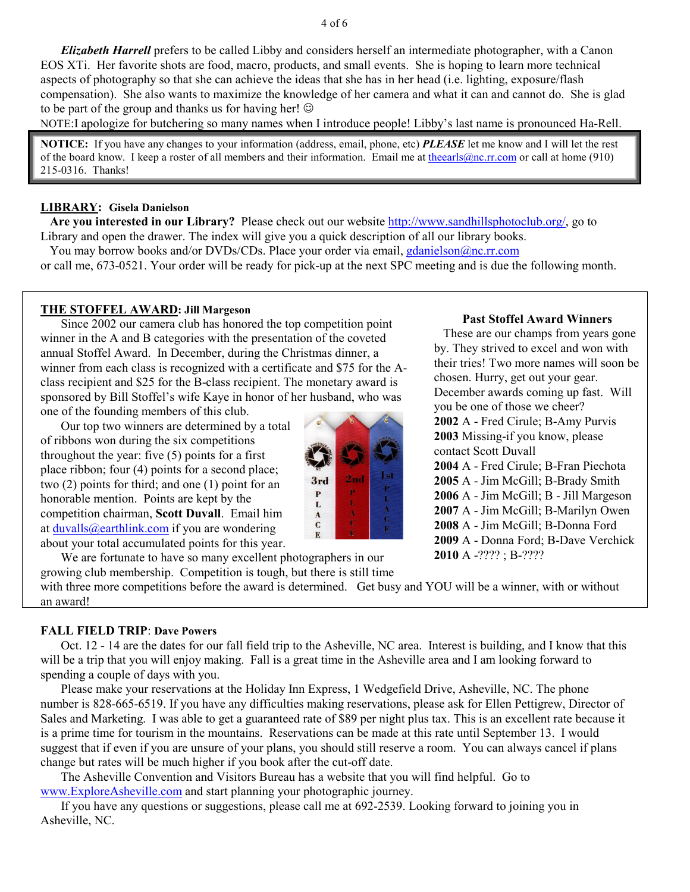*Elizabeth Harrell* prefers to be called Libby and considers herself an intermediate photographer, with a Canon EOS XTi. Her favorite shots are food, macro, products, and small events. She is hoping to learn more technical aspects of photography so that she can achieve the ideas that she has in her head (i.e. lighting, exposure/flash compensation). She also wants to maximize the knowledge of her camera and what it can and cannot do. She is glad to be part of the group and thanks us for having her!  $\odot$ 

NOTE:I apologize for butchering so many names when I introduce people! Libby's last name is pronounced Ha-Rell.

**NOTICE:** If you have any changes to your information (address, email, phone, etc) *PLEASE* let me know and I will let the rest of the board know. I keep a roster of all members and their information. Email me at theearls@nc.rr.com or call at home (910) 215-0316. Thanks!

### **LIBRARY: Gisela Danielson**

 **Are you interested in our Library?** Please check out our website http://www.sandhillsphotoclub.org/, go to Library and open the drawer. The index will give you a quick description of all our library books.

You may borrow books and/or DVDs/CDs. Place your order via email, gdanielson@nc.rr.com or call me, 673-0521. Your order will be ready for pick-up at the next SPC meeting and is due the following month.

### **THE STOFFEL AWARD: Jill Margeson**

Since 2002 our camera club has honored the top competition point winner in the A and B categories with the presentation of the coveted annual Stoffel Award. In December, during the Christmas dinner, a winner from each class is recognized with a certificate and \$75 for the Aclass recipient and \$25 for the B-class recipient. The monetary award is sponsored by Bill Stoffel's wife Kaye in honor of her husband, who was one of the founding members of this club.

Our top two winners are determined by a total of ribbons won during the six competitions throughout the year: five (5) points for a first place ribbon; four (4) points for a second place; two (2) points for third; and one (1) point for an honorable mention. Points are kept by the competition chairman, **Scott Duvall**. Email him at duvalls@earthlink.com if you are wondering about your total accumulated points for this year.

We are fortunate to have so many excellent photographers in our

growing club membership. Competition is tough, but there is still time

### **Past Stoffel Award Winners**

 These are our champs from years gone by. They strived to excel and won with their tries! Two more names will soon be chosen. Hurry, get out your gear. December awards coming up fast. Will you be one of those we cheer? **2002** A - Fred Cirule; B-Amy Purvis **2003** Missing-if you know, please contact Scott Duvall **2004** A - Fred Cirule; B-Fran Piechota **2005** A - Jim McGill; B-Brady Smith **2006** A - Jim McGill; B - Jill Margeson **2007** A - Jim McGill; B-Marilyn Owen **2008** A - Jim McGill; B-Donna Ford **2009** A - Donna Ford; B-Dave Verchick **2010** A -???? ; B-????

with three more competitions before the award is determined. Get busy and YOU will be a winner, with or without an award!

### **FALL FIELD TRIP**: **Dave Powers**

Oct. 12 - 14 are the dates for our fall field trip to the Asheville, NC area. Interest is building, and I know that this will be a trip that you will enjoy making. Fall is a great time in the Asheville area and I am looking forward to spending a couple of days with you.

Please make your reservations at the Holiday Inn Express, 1 Wedgefield Drive, Asheville, NC. The phone number is 828-665-6519. If you have any difficulties making reservations, please ask for Ellen Pettigrew, Director of Sales and Marketing. I was able to get a guaranteed rate of \$89 per night plus tax. This is an excellent rate because it is a prime time for tourism in the mountains. Reservations can be made at this rate until September 13. I would suggest that if even if you are unsure of your plans, you should still reserve a room. You can always cancel if plans change but rates will be much higher if you book after the cut-off date.

The Asheville Convention and Visitors Bureau has a website that you will find helpful. Go to www.ExploreAsheville.com and start planning your photographic journey.

If you have any questions or suggestions, please call me at 692-2539. Looking forward to joining you in Asheville, NC.

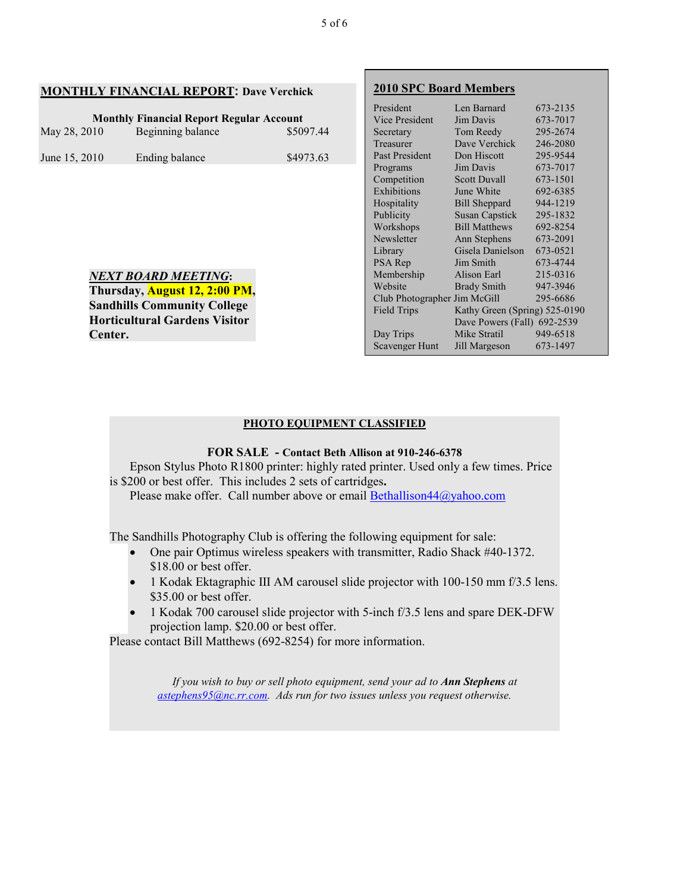### **MONTHLY FINANCIAL REPORT: Dave Verchick**

*NEXT BOARD MEETING***: Thursday, August 12, 2:00 PM, Sandhills Community College Horticultural Gardens Visitor** 

**Center.** 

| <b>Monthly Financial Report Regular Account</b> |                   |           |
|-------------------------------------------------|-------------------|-----------|
| May 28, 2010                                    | Beginning balance | \$5097.44 |
| June 15, 2010                                   | Ending balance    | \$4973.63 |

**2010 SPC Board Members** President Len Barnard 673-2135 Vice President Jim Davis 673-7017<br>Secretary Tom Reedy 295-2674 Secretary Tom Reedy 295-2674<br>Treasurer Dave Verchick 246-2080 Dave Verchick 246-2080<br>Don Hiscott 295-9544 Past President Programs Jim Davis 673-7017 Competition Scott Duvall 673-1501 Exhibitions June White 692-6385 Hospitality Bill Sheppard 944-1219 Publicity Susan Capstick 295-1832 Workshops Bill Matthews 692-8254 Newsletter Ann Stephens 673-2091<br>Library Gisela Danielson 673-0521 Gisela Danielson 673-0521 PSA Rep Jim Smith 673-4744 Membership Alison Earl 215-0316<br>Website Brady Smith 947-3946 **Brady Smith** Club Photographer Jim McGill 295-6686 Field Trips Kathy Green (Spring) 525-0190 Dave Powers (Fall) 692-2539 Day Trips Mike Stratil 949-6518<br>Scavenger Hunt Jill Margeson 673-1497 Scavenger Hunt Jill Margeson

#### **PHOTO EQUIPMENT CLASSIFIED**

### **FOR SALE - Contact Beth Allison at 910-246-6378**

Epson Stylus Photo R1800 printer: highly rated printer. Used only a few times. Price is \$200 or best offer. This includes 2 sets of cartridges**.** 

Please make offer. Call number above or email **Bethallison44@yahoo.com** 

The Sandhills Photography Club is offering the following equipment for sale:

- One pair Optimus wireless speakers with transmitter, Radio Shack #40-1372. \$18.00 or best offer.
- 1 Kodak Ektagraphic III AM carousel slide projector with 100-150 mm f/3.5 lens. \$35.00 or best offer.
- 1 Kodak 700 carousel slide projector with 5-inch f/3.5 lens and spare DEK-DFW projection lamp. \$20.00 or best offer.

Please contact Bill Matthews (692-8254) for more information.

*If you wish to buy or sell photo equipment, send your ad to Ann Stephens at astephens95@nc.rr.com. Ads run for two issues unless you request otherwise.*